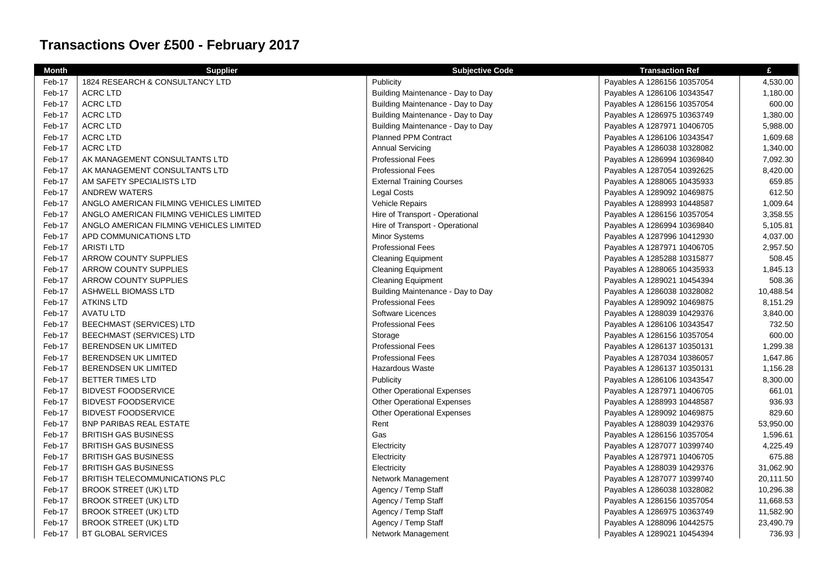## **Transactions Over £500 - February 2017**

| <b>Month</b> | <b>Supplier</b>                         | <b>Subjective Code</b>            | <b>Transaction Ref</b>      | £         |
|--------------|-----------------------------------------|-----------------------------------|-----------------------------|-----------|
| Feb-17       | 1824 RESEARCH & CONSULTANCY LTD         | Publicity                         | Payables A 1286156 10357054 | 4,530.00  |
| Feb-17       | <b>ACRC LTD</b>                         | Building Maintenance - Day to Day | Payables A 1286106 10343547 | 1,180.00  |
| Feb-17       | <b>ACRC LTD</b>                         | Building Maintenance - Day to Day | Payables A 1286156 10357054 | 600.00    |
| Feb-17       | <b>ACRC LTD</b>                         | Building Maintenance - Day to Day | Payables A 1286975 10363749 | 1,380.00  |
| Feb-17       | <b>ACRC LTD</b>                         | Building Maintenance - Day to Day | Payables A 1287971 10406705 | 5,988.00  |
| Feb-17       | <b>ACRC LTD</b>                         | <b>Planned PPM Contract</b>       | Payables A 1286106 10343547 | 1,609.68  |
| Feb-17       | <b>ACRC LTD</b>                         | <b>Annual Servicing</b>           | Payables A 1286038 10328082 | 1,340.00  |
| Feb-17       | AK MANAGEMENT CONSULTANTS LTD           | <b>Professional Fees</b>          | Payables A 1286994 10369840 | 7,092.30  |
| Feb-17       | AK MANAGEMENT CONSULTANTS LTD           | <b>Professional Fees</b>          | Payables A 1287054 10392625 | 8,420.00  |
| Feb-17       | AM SAFETY SPECIALISTS LTD               | <b>External Training Courses</b>  | Payables A 1288065 10435933 | 659.85    |
| Feb-17       | <b>ANDREW WATERS</b>                    | <b>Legal Costs</b>                | Payables A 1289092 10469875 | 612.50    |
| Feb-17       | ANGLO AMERICAN FILMING VEHICLES LIMITED | Vehicle Repairs                   | Payables A 1288993 10448587 | 1,009.64  |
| Feb-17       | ANGLO AMERICAN FILMING VEHICLES LIMITED | Hire of Transport - Operational   | Payables A 1286156 10357054 | 3,358.55  |
| Feb-17       | ANGLO AMERICAN FILMING VEHICLES LIMITED | Hire of Transport - Operational   | Payables A 1286994 10369840 | 5,105.81  |
| Feb-17       | APD COMMUNICATIONS LTD                  | Minor Systems                     | Payables A 1287996 10412930 | 4,037.00  |
| Feb-17       | <b>ARISTI LTD</b>                       | <b>Professional Fees</b>          | Payables A 1287971 10406705 | 2,957.50  |
| Feb-17       | ARROW COUNTY SUPPLIES                   | <b>Cleaning Equipment</b>         | Payables A 1285288 10315877 | 508.45    |
| Feb-17       | ARROW COUNTY SUPPLIES                   | <b>Cleaning Equipment</b>         | Payables A 1288065 10435933 | 1,845.13  |
| Feb-17       | ARROW COUNTY SUPPLIES                   | <b>Cleaning Equipment</b>         | Payables A 1289021 10454394 | 508.36    |
| Feb-17       | ASHWELL BIOMASS LTD                     | Building Maintenance - Day to Day | Payables A 1286038 10328082 | 10,488.54 |
| Feb-17       | <b>ATKINS LTD</b>                       | <b>Professional Fees</b>          | Payables A 1289092 10469875 | 8,151.29  |
| Feb-17       | <b>AVATU LTD</b>                        | Software Licences                 | Payables A 1288039 10429376 | 3,840.00  |
| Feb-17       | <b>BEECHMAST (SERVICES) LTD</b>         | <b>Professional Fees</b>          | Payables A 1286106 10343547 | 732.50    |
| Feb-17       | <b>BEECHMAST (SERVICES) LTD</b>         | Storage                           | Payables A 1286156 10357054 | 600.00    |
| Feb-17       | <b>BERENDSEN UK LIMITED</b>             | <b>Professional Fees</b>          | Payables A 1286137 10350131 | 1,299.38  |
| Feb-17       | <b>BERENDSEN UK LIMITED</b>             | <b>Professional Fees</b>          | Payables A 1287034 10386057 | 1,647.86  |
| Feb-17       | <b>BERENDSEN UK LIMITED</b>             | <b>Hazardous Waste</b>            | Payables A 1286137 10350131 | 1,156.28  |
| Feb-17       | <b>BETTER TIMES LTD</b>                 | Publicity                         | Payables A 1286106 10343547 | 8,300.00  |
| Feb-17       | <b>BIDVEST FOODSERVICE</b>              | <b>Other Operational Expenses</b> | Payables A 1287971 10406705 | 661.01    |
| Feb-17       | <b>BIDVEST FOODSERVICE</b>              | <b>Other Operational Expenses</b> | Payables A 1288993 10448587 | 936.93    |
| Feb-17       | <b>BIDVEST FOODSERVICE</b>              | <b>Other Operational Expenses</b> | Payables A 1289092 10469875 | 829.60    |
| Feb-17       | <b>BNP PARIBAS REAL ESTATE</b>          | Rent                              | Payables A 1288039 10429376 | 53,950.00 |
| Feb-17       | <b>BRITISH GAS BUSINESS</b>             | Gas                               | Payables A 1286156 10357054 | 1,596.61  |
| Feb-17       | <b>BRITISH GAS BUSINESS</b>             | Electricity                       | Payables A 1287077 10399740 | 4,225.49  |
| Feb-17       | <b>BRITISH GAS BUSINESS</b>             | Electricity                       | Payables A 1287971 10406705 | 675.88    |
| Feb-17       | <b>BRITISH GAS BUSINESS</b>             | Electricity                       | Payables A 1288039 10429376 | 31,062.90 |
| Feb-17       | <b>BRITISH TELECOMMUNICATIONS PLC</b>   | Network Management                | Payables A 1287077 10399740 | 20,111.50 |
| Feb-17       | BROOK STREET (UK) LTD                   | Agency / Temp Staff               | Payables A 1286038 10328082 | 10,296.38 |
| Feb-17       | <b>BROOK STREET (UK) LTD</b>            | Agency / Temp Staff               | Payables A 1286156 10357054 | 11,668.53 |
| Feb-17       | BROOK STREET (UK) LTD                   | Agency / Temp Staff               | Payables A 1286975 10363749 | 11,582.90 |
| Feb-17       | <b>BROOK STREET (UK) LTD</b>            | Agency / Temp Staff               | Payables A 1288096 10442575 | 23,490.79 |
| Feb-17       | <b>BT GLOBAL SERVICES</b>               | Network Management                | Payables A 1289021 10454394 | 736.93    |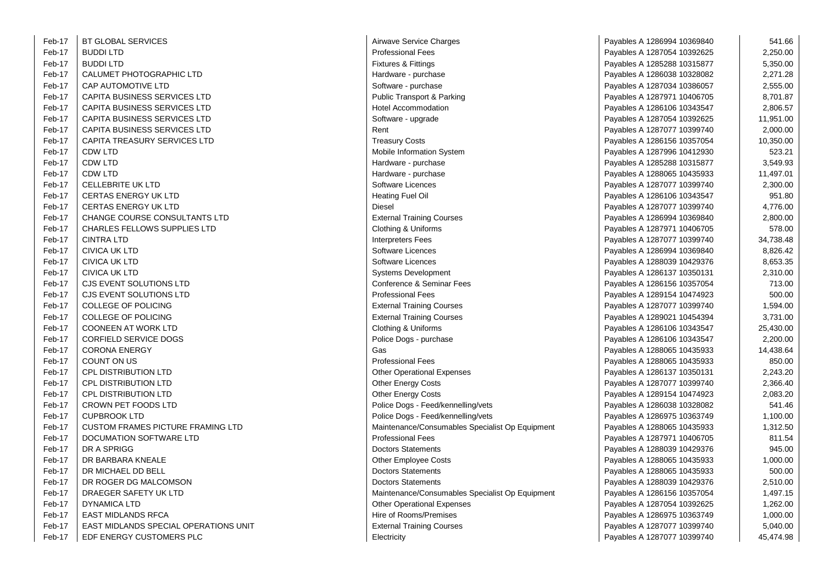| Feb-17 | <b>BT GLOBAL SERVICES</b>                |  | Airwave Serv         |
|--------|------------------------------------------|--|----------------------|
| Feb-17 | <b>BUDDI LTD</b><br>Professional         |  |                      |
| Feb-17 | <b>BUDDI LTD</b>                         |  | Fixtures & Fi        |
| Feb-17 | CALUMET PHOTOGRAPHIC LTD                 |  | Hardware - p         |
| Feb-17 | CAP AUTOMOTIVE LTD                       |  | Software - pi        |
| Feb-17 | CAPITA BUSINESS SERVICES LTD             |  | <b>Public Trans</b>  |
| Feb-17 | CAPITA BUSINESS SERVICES LTD             |  | <b>Hotel Accom</b>   |
| Feb-17 | CAPITA BUSINESS SERVICES LTD             |  | Software - up        |
| Feb-17 | CAPITA BUSINESS SERVICES LTD             |  | Rent                 |
| Feb-17 | CAPITA TREASURY SERVICES LTD             |  | Treasury Co          |
| Feb-17 | <b>CDW LTD</b>                           |  | Mobile Inforr        |
| Feb-17 | CDW LTD                                  |  | Hardware - p         |
| Feb-17 | <b>CDW LTD</b>                           |  | Hardware - p         |
| Feb-17 | <b>CELLEBRITE UK LTD</b>                 |  | Software Lic         |
| Feb-17 | <b>CERTAS ENERGY UK LTD</b>              |  | <b>Heating Fuel</b>  |
| Feb-17 | <b>CERTAS ENERGY UK LTD</b>              |  | Diesel               |
| Feb-17 | CHANGE COURSE CONSULTANTS LTD            |  | <b>External Trai</b> |
| Feb-17 | <b>CHARLES FELLOWS SUPPLIES LTD</b>      |  | Clothing & U         |
| Feb-17 | <b>CINTRA LTD</b>                        |  | Interpreters I       |
| Feb-17 | <b>CIVICA UK LTD</b>                     |  | Software Lic         |
| Feb-17 | <b>CIVICA UK LTD</b>                     |  | Software Lic         |
| Feb-17 | <b>CIVICA UK LTD</b>                     |  | Systems Dev          |
| Feb-17 | CJS EVENT SOLUTIONS LTD                  |  | Conference           |
| Feb-17 | CJS EVENT SOLUTIONS LTD                  |  | Professional         |
| Feb-17 | <b>COLLEGE OF POLICING</b>               |  | <b>External Trai</b> |
| Feb-17 | <b>COLLEGE OF POLICING</b>               |  | <b>External Trai</b> |
| Feb-17 | <b>COONEEN AT WORK LTD</b>               |  | Clothing & U         |
| Feb-17 | <b>CORFIELD SERVICE DOGS</b>             |  | Police Dogs          |
| Feb-17 | <b>CORONA ENERGY</b>                     |  | Gas                  |
| Feb-17 | COUNT ON US                              |  | Professional         |
| Feb-17 | <b>CPL DISTRIBUTION LTD</b>              |  | Other Opera          |
| Feb-17 | CPL DISTRIBUTION LTD                     |  | Other Energy         |
| Feb-17 | <b>CPL DISTRIBUTION LTD</b>              |  | Other Energy         |
| Feb-17 | CROWN PET FOODS LTD                      |  | Police Dogs          |
| Feb-17 | <b>CUPBROOK LTD</b>                      |  | Police Dogs          |
| Feb-17 | <b>CUSTOM FRAMES PICTURE FRAMING LTD</b> |  | Maintenance          |
| Feb-17 | DOCUMATION SOFTWARE LTD                  |  | Professional         |
| Feb-17 | DR A SPRIGG                              |  | Doctors Stat         |
| Feb-17 | DR BARBARA KNEALE                        |  | <b>Other Emplo</b>   |
| Feb-17 | DR MICHAEL DD BELL                       |  | Doctors Stat         |
| Feb-17 | DR ROGER DG MALCOMSON                    |  | Doctors Stat         |
| Feb-17 | DRAEGER SAFETY UK LTD                    |  | Maintenance          |
| Feb-17 | <b>DYNAMICA LTD</b>                      |  | <b>Other Opera</b>   |
| Feb-17 | <b>EAST MIDLANDS RFCA</b>                |  | Hire of Roon         |
| Feb-17 | EAST MIDLANDS SPECIAL OPERATIONS UNIT    |  | <b>External Trai</b> |
| Feb-17 | EDF ENERGY CUSTOMERS PLC                 |  | Electricity          |

| Airwave Service Charges                         |
|-------------------------------------------------|
| Professional Fees                               |
| ixtures & Fittings                              |
| lardware - purchase                             |
| Software - purchase                             |
| ublic Transport & Parking                       |
| Iotel Accommodation                             |
| Software - upgrade                              |
| रेent                                           |
| reasury Costs                                   |
| <b><i>Aobile Information System</i></b>         |
| lardware - purchase                             |
| lardware - purchase                             |
| Software Licences                               |
| leating Fuel Oil                                |
| <b>Diesel</b>                                   |
| External Training Courses                       |
| Clothing & Uniforms                             |
| nterpreters Fees                                |
| Software Licences                               |
| Software Licences                               |
| Systems Development                             |
| Conference & Seminar Fees                       |
| Professional Fees                               |
| External Training Courses                       |
| <b>External Training Courses</b>                |
| Clothing & Uniforms                             |
| Police Dogs - purchase                          |
| Эas                                             |
| Professional Fees                               |
| Other Operational Expenses                      |
| Other Energy Costs                              |
| Other Energy Costs                              |
| Police Dogs - Feed/kennelling/vets              |
| Police Dogs - Feed/kennelling/vets              |
| Maintenance/Consumables Specialist Op Equipment |
| Professional Fees                               |
| <b>Doctors Statements</b>                       |
| Other Employee Costs                            |
| <b>Doctors Statements</b>                       |
| <b>Doctors Statements</b>                       |
| Aaintenance/Consumables Specialist Op Equipment |
| Other Operational Expenses                      |
| lire of Rooms/Premises                          |
| <b>External Training Courses</b>                |
| Instrictity                                     |

| -17 | <b>BT GLOBAL SERVICES</b>                | Airwave Service Charges                         | Payables A 1286994 10369840 | 541.66    |
|-----|------------------------------------------|-------------------------------------------------|-----------------------------|-----------|
| -17 | <b>BUDDI LTD</b>                         | <b>Professional Fees</b>                        | Payables A 1287054 10392625 | 2,250.00  |
| -17 | <b>BUDDI LTD</b>                         | Fixtures & Fittings                             | Payables A 1285288 10315877 | 5,350.00  |
| -17 | CALUMET PHOTOGRAPHIC LTD                 | Hardware - purchase                             | Payables A 1286038 10328082 | 2,271.28  |
| -17 | <b>CAP AUTOMOTIVE LTD</b>                | Software - purchase                             | Payables A 1287034 10386057 | 2,555.00  |
| -17 | CAPITA BUSINESS SERVICES LTD             | Public Transport & Parking                      | Payables A 1287971 10406705 | 8,701.87  |
| -17 | CAPITA BUSINESS SERVICES LTD             | <b>Hotel Accommodation</b>                      | Payables A 1286106 10343547 | 2,806.57  |
| -17 | CAPITA BUSINESS SERVICES LTD             | Software - upgrade                              | Payables A 1287054 10392625 | 11,951.00 |
| -17 | CAPITA BUSINESS SERVICES LTD             | Rent                                            | Payables A 1287077 10399740 | 2,000.00  |
| -17 | CAPITA TREASURY SERVICES LTD             | <b>Treasury Costs</b>                           | Payables A 1286156 10357054 | 10,350.00 |
| -17 | <b>CDW LTD</b>                           | Mobile Information System                       | Payables A 1287996 10412930 | 523.21    |
| -17 | CDW LTD                                  | Hardware - purchase                             | Payables A 1285288 10315877 | 3,549.93  |
| -17 | <b>CDW LTD</b>                           | Hardware - purchase                             | Payables A 1288065 10435933 | 11,497.01 |
| -17 | <b>CELLEBRITE UK LTD</b>                 | Software Licences                               | Payables A 1287077 10399740 | 2,300.00  |
| -17 | CERTAS ENERGY UK LTD                     | Heating Fuel Oil                                | Payables A 1286106 10343547 | 951.80    |
| -17 | <b>CERTAS ENERGY UK LTD</b>              | <b>Diesel</b>                                   | Payables A 1287077 10399740 | 4,776.00  |
| -17 | CHANGE COURSE CONSULTANTS LTD            | <b>External Training Courses</b>                | Payables A 1286994 10369840 | 2,800.00  |
| -17 | <b>CHARLES FELLOWS SUPPLIES LTD</b>      | Clothing & Uniforms                             | Payables A 1287971 10406705 | 578.00    |
| -17 | <b>CINTRA LTD</b>                        | <b>Interpreters Fees</b>                        | Payables A 1287077 10399740 | 34,738.48 |
| -17 | <b>CIVICA UK LTD</b>                     | Software Licences                               | Payables A 1286994 10369840 | 8,826.42  |
| -17 | <b>CIVICA UK LTD</b>                     | Software Licences                               | Payables A 1288039 10429376 | 8,653.35  |
| -17 | <b>CIVICA UK LTD</b>                     | <b>Systems Development</b>                      | Payables A 1286137 10350131 | 2,310.00  |
| -17 | CJS EVENT SOLUTIONS LTD                  | Conference & Seminar Fees                       | Payables A 1286156 10357054 | 713.00    |
| -17 | CJS EVENT SOLUTIONS LTD                  | <b>Professional Fees</b>                        | Payables A 1289154 10474923 | 500.00    |
| -17 | <b>COLLEGE OF POLICING</b>               | <b>External Training Courses</b>                | Payables A 1287077 10399740 | 1,594.00  |
| -17 | COLLEGE OF POLICING                      | <b>External Training Courses</b>                | Payables A 1289021 10454394 | 3,731.00  |
| -17 | <b>COONEEN AT WORK LTD</b>               | Clothing & Uniforms                             | Payables A 1286106 10343547 | 25,430.00 |
| -17 | <b>CORFIELD SERVICE DOGS</b>             | Police Dogs - purchase                          | Payables A 1286106 10343547 | 2,200.00  |
| -17 | <b>CORONA ENERGY</b>                     | Gas                                             | Payables A 1288065 10435933 | 14,438.64 |
| -17 | COUNT ON US                              | <b>Professional Fees</b>                        | Payables A 1288065 10435933 | 850.00    |
| -17 | <b>CPL DISTRIBUTION LTD</b>              | <b>Other Operational Expenses</b>               | Payables A 1286137 10350131 | 2,243.20  |
| -17 | CPL DISTRIBUTION LTD                     | Other Energy Costs                              | Payables A 1287077 10399740 | 2,366.40  |
| -17 | <b>CPL DISTRIBUTION LTD</b>              | Other Energy Costs                              | Payables A 1289154 10474923 | 2,083.20  |
| -17 | CROWN PET FOODS LTD                      | Police Dogs - Feed/kennelling/vets              | Payables A 1286038 10328082 | 541.46    |
| -17 | <b>CUPBROOK LTD</b>                      | Police Dogs - Feed/kennelling/vets              | Payables A 1286975 10363749 | 1,100.00  |
| -17 | <b>CUSTOM FRAMES PICTURE FRAMING LTD</b> | Maintenance/Consumables Specialist Op Equipment | Payables A 1288065 10435933 | 1,312.50  |
| -17 | DOCUMATION SOFTWARE LTD                  | <b>Professional Fees</b>                        | Payables A 1287971 10406705 | 811.54    |
| -17 | DR A SPRIGG                              | <b>Doctors Statements</b>                       | Payables A 1288039 10429376 | 945.00    |
| -17 | DR BARBARA KNEALE                        | Other Employee Costs                            | Payables A 1288065 10435933 | 1,000.00  |
| -17 | DR MICHAEL DD BELL                       | <b>Doctors Statements</b>                       | Payables A 1288065 10435933 | 500.00    |
| -17 | DR ROGER DG MALCOMSON                    | <b>Doctors Statements</b>                       | Payables A 1288039 10429376 | 2,510.00  |
| -17 | DRAEGER SAFETY UK LTD                    | Maintenance/Consumables Specialist Op Equipment | Payables A 1286156 10357054 | 1,497.15  |
| -17 | <b>DYNAMICA LTD</b>                      | <b>Other Operational Expenses</b>               | Payables A 1287054 10392625 | 1,262.00  |
| -17 | <b>EAST MIDLANDS RFCA</b>                | Hire of Rooms/Premises                          | Payables A 1286975 10363749 | 1,000.00  |
| -17 | EAST MIDLANDS SPECIAL OPERATIONS UNIT    | <b>External Training Courses</b>                | Payables A 1287077 10399740 | 5,040.00  |
| -17 | EDF ENERGY CUSTOMERS PLC                 | Electricity                                     | Payables A 1287077 10399740 | 45,474.98 |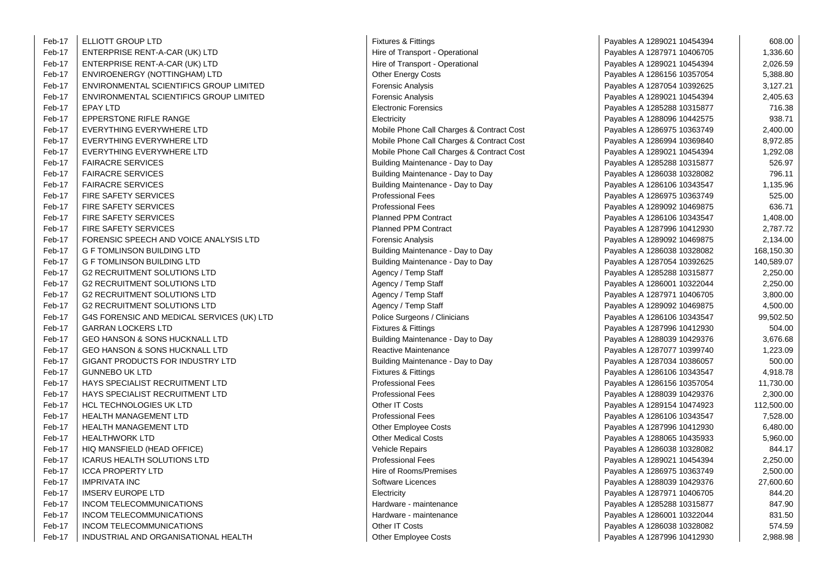| Feb-17 | ELLIOTT GROUP LTD                          | <b>Fixtures &amp; Fittings</b>            | Payables A 1289021 10454394 | 608.00     |
|--------|--------------------------------------------|-------------------------------------------|-----------------------------|------------|
| Feb-17 | ENTERPRISE RENT-A-CAR (UK) LTD             | Hire of Transport - Operational           | Payables A 1287971 10406705 | 1,336.60   |
| Feb-17 | ENTERPRISE RENT-A-CAR (UK) LTD             | Hire of Transport - Operational           | Payables A 1289021 10454394 | 2,026.59   |
| Feb-17 | ENVIROENERGY (NOTTINGHAM) LTD              | <b>Other Energy Costs</b>                 | Payables A 1286156 10357054 | 5,388.80   |
| Feb-17 | ENVIRONMENTAL SCIENTIFICS GROUP LIMITED    | <b>Forensic Analysis</b>                  | Payables A 1287054 10392625 | 3,127.21   |
| Feb-17 | ENVIRONMENTAL SCIENTIFICS GROUP LIMITED    | <b>Forensic Analysis</b>                  | Payables A 1289021 10454394 | 2,405.63   |
| Feb-17 | <b>EPAY LTD</b>                            | <b>Electronic Forensics</b>               | Payables A 1285288 10315877 | 716.38     |
| Feb-17 | EPPERSTONE RIFLE RANGE                     | Electricity                               | Payables A 1288096 10442575 | 938.71     |
| Feb-17 | EVERYTHING EVERYWHERE LTD                  | Mobile Phone Call Charges & Contract Cost | Payables A 1286975 10363749 | 2,400.00   |
| Feb-17 | EVERYTHING EVERYWHERE LTD                  | Mobile Phone Call Charges & Contract Cost | Payables A 1286994 10369840 | 8,972.85   |
| Feb-17 | EVERYTHING EVERYWHERE LTD                  | Mobile Phone Call Charges & Contract Cost | Payables A 1289021 10454394 | 1,292.08   |
| Feb-17 | <b>FAIRACRE SERVICES</b>                   | Building Maintenance - Day to Day         | Payables A 1285288 10315877 | 526.97     |
| Feb-17 | <b>FAIRACRE SERVICES</b>                   | Building Maintenance - Day to Day         | Payables A 1286038 10328082 | 796.11     |
| Feb-17 | <b>FAIRACRE SERVICES</b>                   | Building Maintenance - Day to Day         | Payables A 1286106 10343547 | 1,135.96   |
| Feb-17 | <b>FIRE SAFETY SERVICES</b>                | <b>Professional Fees</b>                  | Payables A 1286975 10363749 | 525.00     |
| Feb-17 | <b>FIRE SAFETY SERVICES</b>                | <b>Professional Fees</b>                  | Payables A 1289092 10469875 | 636.71     |
| Feb-17 | <b>FIRE SAFETY SERVICES</b>                | <b>Planned PPM Contract</b>               | Payables A 1286106 10343547 | 1,408.00   |
| Feb-17 | FIRE SAFETY SERVICES                       | <b>Planned PPM Contract</b>               | Payables A 1287996 10412930 | 2,787.72   |
| Feb-17 | FORENSIC SPEECH AND VOICE ANALYSIS LTD     | <b>Forensic Analysis</b>                  | Payables A 1289092 10469875 | 2,134.00   |
| Feb-17 | <b>G F TOMLINSON BUILDING LTD</b>          | Building Maintenance - Day to Day         | Payables A 1286038 10328082 | 168,150.30 |
| Feb-17 | <b>G F TOMLINSON BUILDING LTD</b>          | Building Maintenance - Day to Day         | Payables A 1287054 10392625 | 140,589.07 |
| Feb-17 | <b>G2 RECRUITMENT SOLUTIONS LTD</b>        | Agency / Temp Staff                       | Payables A 1285288 10315877 | 2,250.00   |
| Feb-17 | <b>G2 RECRUITMENT SOLUTIONS LTD</b>        | Agency / Temp Staff                       | Payables A 1286001 10322044 | 2,250.00   |
| Feb-17 | <b>G2 RECRUITMENT SOLUTIONS LTD</b>        | Agency / Temp Staff                       | Payables A 1287971 10406705 | 3,800.00   |
| Feb-17 | <b>G2 RECRUITMENT SOLUTIONS LTD</b>        | Agency / Temp Staff                       | Payables A 1289092 10469875 | 4,500.00   |
| Feb-17 | G4S FORENSIC AND MEDICAL SERVICES (UK) LTD | Police Surgeons / Clinicians              | Payables A 1286106 10343547 | 99,502.50  |
| Feb-17 | <b>GARRAN LOCKERS LTD</b>                  | <b>Fixtures &amp; Fittings</b>            | Payables A 1287996 10412930 | 504.00     |
| Feb-17 | GEO HANSON & SONS HUCKNALL LTD             | Building Maintenance - Day to Day         | Payables A 1288039 10429376 | 3,676.68   |
| Feb-17 | GEO HANSON & SONS HUCKNALL LTD             | Reactive Maintenance                      | Payables A 1287077 10399740 | 1,223.09   |
| Feb-17 | GIGANT PRODUCTS FOR INDUSTRY LTD           | Building Maintenance - Day to Day         | Payables A 1287034 10386057 | 500.00     |
| Feb-17 | <b>GUNNEBO UK LTD</b>                      | <b>Fixtures &amp; Fittings</b>            | Payables A 1286106 10343547 | 4,918.78   |
| Feb-17 | HAYS SPECIALIST RECRUITMENT LTD            | <b>Professional Fees</b>                  | Payables A 1286156 10357054 | 11,730.00  |
| Feb-17 | HAYS SPECIALIST RECRUITMENT LTD            | <b>Professional Fees</b>                  | Payables A 1288039 10429376 | 2,300.00   |
| Feb-17 | <b>HCL TECHNOLOGIES UK LTD</b>             | Other IT Costs                            | Payables A 1289154 10474923 | 112,500.00 |
| Feb-17 | <b>HEALTH MANAGEMENT LTD</b>               | <b>Professional Fees</b>                  | Payables A 1286106 10343547 | 7,528.00   |
| Feb-17 | <b>HEALTH MANAGEMENT LTD</b>               | <b>Other Employee Costs</b>               | Payables A 1287996 10412930 | 6,480.00   |
| Feb-17 | <b>HEALTHWORK LTD</b>                      | <b>Other Medical Costs</b>                | Payables A 1288065 10435933 | 5,960.00   |
| Feb-17 | HIQ MANSFIELD (HEAD OFFICE)                | Vehicle Repairs                           | Payables A 1286038 10328082 | 844.17     |
| Feb-17 | <b>ICARUS HEALTH SOLUTIONS LTD</b>         | <b>Professional Fees</b>                  | Payables A 1289021 10454394 | 2,250.00   |
| Feb-17 | <b>ICCA PROPERTY LTD</b>                   | Hire of Rooms/Premises                    | Payables A 1286975 10363749 | 2,500.00   |
| Feb-17 | <b>IMPRIVATA INC</b>                       | Software Licences                         | Payables A 1288039 10429376 | 27,600.60  |
| Feb-17 | <b>IMSERV EUROPE LTD</b>                   | Electricity                               | Payables A 1287971 10406705 | 844.20     |
| Feb-17 | INCOM TELECOMMUNICATIONS                   | Hardware - maintenance                    | Payables A 1285288 10315877 | 847.90     |
| Feb-17 | INCOM TELECOMMUNICATIONS                   | Hardware - maintenance                    | Payables A 1286001 10322044 | 831.50     |
| Feb-17 | INCOM TELECOMMUNICATIONS                   | Other IT Costs                            | Payables A 1286038 10328082 | 574.59     |
| Feb-17 | INDUSTRIAL AND ORGANISATIONAL HEALTH       | <b>Other Employee Costs</b>               | Payables A 1287996 10412930 | 2,988.98   |

| Fixtures & Fittings                    |
|----------------------------------------|
| Hire of Transport - Operational        |
| Hire of Transport - Operational        |
| <b>Other Energy Costs</b>              |
| <b>Forensic Analysis</b>               |
| Forensic Analysis                      |
| <b>Electronic Forensics</b>            |
| Electricity                            |
| Mobile Phone Call Charges & Contract ( |
| Mobile Phone Call Charges & Contract ( |
| Mobile Phone Call Charges & Contract ( |
| Building Maintenance - Day to Day      |
| Building Maintenance - Day to Day      |
| Building Maintenance - Day to Day      |
| <b>Professional Fees</b>               |
| <b>Professional Fees</b>               |
| <b>Planned PPM Contract</b>            |
| <b>Planned PPM Contract</b>            |
|                                        |
| <b>Forensic Analysis</b>               |
| Building Maintenance - Day to Day      |
| Building Maintenance - Day to Day      |
| Agency / Temp Staff                    |
| Agency / Temp Staff                    |
| Agency / Temp Staff                    |
| Agency / Temp Staff                    |
| Police Surgeons / Clinicians           |
| Fixtures & Fittings                    |
| Building Maintenance - Day to Day      |
| Reactive Maintenance                   |
| Building Maintenance - Day to Day      |
| Fixtures & Fittings                    |
| <b>Professional Fees</b>               |
| <b>Professional Fees</b>               |
| Other IT Costs                         |
| <b>Professional Fees</b>               |
| <b>Other Employee Costs</b>            |
| <b>Other Medical Costs</b>             |
| <b>Vehicle Repairs</b>                 |
| <b>Professional Fees</b>               |
| <b>Hire of Rooms/Premises</b>          |
| Software Licences                      |
| Electricity                            |
| Hardware - maintenance                 |
| Hardware - maintenance                 |
| Other IT Costs                         |
| Other Employee Costs                   |
|                                        |

| Fittings                         | Payables A 1289021 10454394 | 608.00     |
|----------------------------------|-----------------------------|------------|
| <b>Insport - Operational</b>     | Payables A 1287971 10406705 | 1,336.60   |
| insport - Operational            | Payables A 1289021 10454394 | 2,026.59   |
| rgy Costs                        | Payables A 1286156 10357054 | 5,388.80   |
| nalysis                          | Payables A 1287054 10392625 | 3,127.21   |
| nalysis\                         | Payables A 1289021 10454394 | 2,405.63   |
| Forensics                        | Payables A 1285288 10315877 | 716.38     |
|                                  | Payables A 1288096 10442575 | 938.71     |
| one Call Charges & Contract Cost | Payables A 1286975 10363749 | 2,400.00   |
| one Call Charges & Contract Cost | Payables A 1286994 10369840 | 8,972.85   |
| one Call Charges & Contract Cost | Payables A 1289021 10454394 | 1,292.08   |
| laintenance - Day to Day         | Payables A 1285288 10315877 | 526.97     |
| laintenance - Day to Day         | Payables A 1286038 10328082 | 796.11     |
| laintenance - Day to Day         | Payables A 1286106 10343547 | 1,135.96   |
| ıal Fees                         | Payables A 1286975 10363749 | 525.00     |
| ial Fees                         | Payables A 1289092 10469875 | 636.71     |
| <b>PM Contract</b>               | Payables A 1286106 10343547 | 1,408.00   |
| <b>PM Contract</b>               | Payables A 1287996 10412930 | 2,787.72   |
| nalysis\                         | Payables A 1289092 10469875 | 2,134.00   |
| laintenance - Day to Day         | Payables A 1286038 10328082 | 168,150.30 |
| laintenance - Day to Day         | Payables A 1287054 10392625 | 140,589.07 |
| emp Staff                        | Payables A 1285288 10315877 | 2,250.00   |
| emp Staff                        | Payables A 1286001 10322044 | 2,250.00   |
| emp Staff                        | Payables A 1287971 10406705 | 3,800.00   |
| emp Staff                        | Payables A 1289092 10469875 | 4,500.00   |
| geons / Clinicians               | Payables A 1286106 10343547 | 99,502.50  |
| Fittings                         | Payables A 1287996 10412930 | 504.00     |
| laintenance - Day to Day         | Payables A 1288039 10429376 | 3,676.68   |
| Aaintenance                      | Payables A 1287077 10399740 | 1,223.09   |
| laintenance - Day to Day         | Payables A 1287034 10386057 | 500.00     |
| Fittings                         | Payables A 1286106 10343547 | 4,918.78   |
| ial Fees                         | Payables A 1286156 10357054 | 11,730.00  |
| ial Fees                         | Payables A 1288039 10429376 | 2,300.00   |
| osts                             | Payables A 1289154 10474923 | 112,500.00 |
| ial Fees                         | Payables A 1286106 10343547 | 7,528.00   |
| oloyee Costs                     | Payables A 1287996 10412930 | 6,480.00   |
| lical Costs                      | Payables A 1288065 10435933 | 5,960.00   |
| epairs                           | Payables A 1286038 10328082 | 844.17     |
| ial Fees                         | Payables A 1289021 10454394 | 2,250.00   |
| oms/Premises                     | Payables A 1286975 10363749 | 2,500.00   |
| icences                          | Payables A 1288039 10429376 | 27,600.60  |
|                                  | Payables A 1287971 10406705 | 844.20     |
| - maintenance                    | Payables A 1285288 10315877 | 847.90     |
| - maintenance                    | Payables A 1286001 10322044 | 831.50     |
| osts                             | Payables A 1286038 10328082 | 574.59     |
| vlovee Costs                     | Pavables A 1287996 10412930 | 298898     |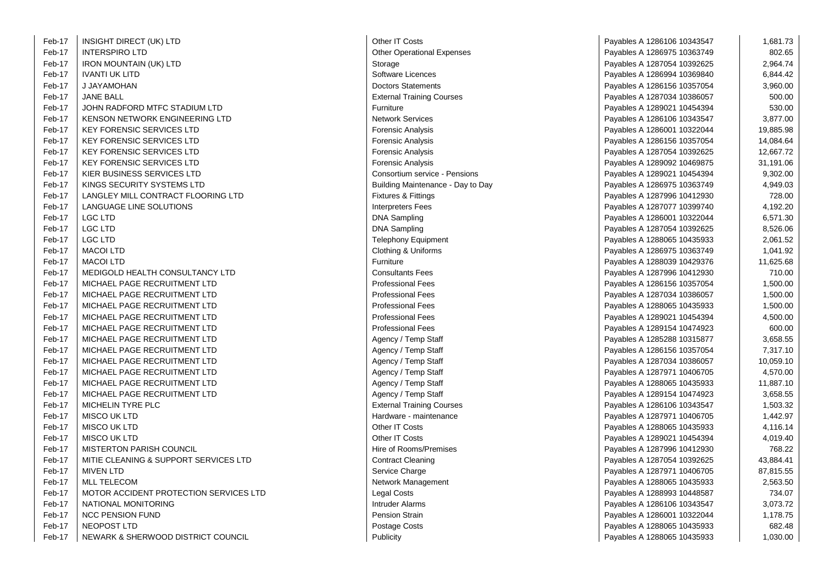| Feb-17                          | INSIGHT DIRECT (UK) LTD                | Other IT Costs                    | Payables A 1286106 10343547 | 1,681.73  |
|---------------------------------|----------------------------------------|-----------------------------------|-----------------------------|-----------|
| Feb-17                          | <b>INTERSPIRO LTD</b>                  | <b>Other Operational Expenses</b> | Payables A 1286975 10363749 | 802.65    |
| Feb-17                          | <b>IRON MOUNTAIN (UK) LTD</b>          | Storage                           | Payables A 1287054 10392625 | 2,964.74  |
| Feb-17                          | <b>IVANTI UK LITD</b>                  | Software Licences                 | Payables A 1286994 10369840 | 6,844.42  |
| Feb-17                          | J JAYAMOHAN                            | <b>Doctors Statements</b>         | Payables A 1286156 10357054 | 3,960.00  |
| Feb-17                          | <b>JANE BALL</b>                       | <b>External Training Courses</b>  | Payables A 1287034 10386057 | 500.00    |
| Feb-17                          | JOHN RADFORD MTFC STADIUM LTD          | Furniture                         | Payables A 1289021 10454394 | 530.00    |
| Feb-17                          | KENSON NETWORK ENGINEERING LTD         | <b>Network Services</b>           | Payables A 1286106 10343547 | 3,877.00  |
| Feb-17                          | <b>KEY FORENSIC SERVICES LTD</b>       | <b>Forensic Analysis</b>          | Payables A 1286001 10322044 | 19,885.98 |
| Feb-17                          | <b>KEY FORENSIC SERVICES LTD</b>       | Forensic Analysis                 | Payables A 1286156 10357054 | 14,084.64 |
| Feb-17                          | <b>KEY FORENSIC SERVICES LTD</b>       | <b>Forensic Analysis</b>          | Payables A 1287054 10392625 | 12,667.72 |
| Feb-17                          | <b>KEY FORENSIC SERVICES LTD</b>       | <b>Forensic Analysis</b>          | Payables A 1289092 10469875 | 31,191.06 |
| Feb-17                          | KIER BUSINESS SERVICES LTD             | Consortium service - Pensions     | Payables A 1289021 10454394 | 9,302.00  |
| Feb-17                          | KINGS SECURITY SYSTEMS LTD             | Building Maintenance - Day to Day | Payables A 1286975 10363749 | 4,949.03  |
| Feb-17                          | LANGLEY MILL CONTRACT FLOORING LTD     | Fixtures & Fittings               | Payables A 1287996 10412930 | 728.00    |
| Feb-17                          | LANGUAGE LINE SOLUTIONS                | <b>Interpreters Fees</b>          | Payables A 1287077 10399740 | 4,192.20  |
| Feb-17                          | <b>LGC LTD</b>                         | <b>DNA Sampling</b>               | Payables A 1286001 10322044 | 6,571.30  |
| Feb-17                          | <b>LGC LTD</b>                         | <b>DNA Sampling</b>               | Payables A 1287054 10392625 | 8,526.06  |
| Feb-17                          | LGC LTD                                | <b>Telephony Equipment</b>        | Payables A 1288065 10435933 | 2,061.52  |
| Feb-17                          | <b>MACOI LTD</b>                       | Clothing & Uniforms               | Payables A 1286975 10363749 | 1,041.92  |
| Feb-17                          | <b>MACOI LTD</b>                       | Furniture                         | Payables A 1288039 10429376 | 11,625.68 |
| Feb-17                          | MEDIGOLD HEALTH CONSULTANCY LTD        | <b>Consultants Fees</b>           | Payables A 1287996 10412930 | 710.00    |
| Feb-17                          | MICHAEL PAGE RECRUITMENT LTD           | <b>Professional Fees</b>          | Payables A 1286156 10357054 | 1,500.00  |
| Feb-17                          | MICHAEL PAGE RECRUITMENT LTD           | <b>Professional Fees</b>          | Payables A 1287034 10386057 | 1,500.00  |
| Feb-17                          | MICHAEL PAGE RECRUITMENT LTD           | <b>Professional Fees</b>          | Payables A 1288065 10435933 | 1,500.00  |
| Feb-17                          | MICHAEL PAGE RECRUITMENT LTD           | <b>Professional Fees</b>          | Payables A 1289021 10454394 | 4,500.00  |
| Feb-17                          | MICHAEL PAGE RECRUITMENT LTD           | <b>Professional Fees</b>          | Payables A 1289154 10474923 | 600.00    |
| Feb-17                          | MICHAEL PAGE RECRUITMENT LTD           | Agency / Temp Staff               | Payables A 1285288 10315877 | 3,658.55  |
| Feb-17                          | MICHAEL PAGE RECRUITMENT LTD           | Agency / Temp Staff               | Payables A 1286156 10357054 | 7,317.10  |
| Feb-17                          | MICHAEL PAGE RECRUITMENT LTD           | Agency / Temp Staff               | Payables A 1287034 10386057 | 10,059.10 |
| Feb-17                          | MICHAEL PAGE RECRUITMENT LTD           | Agency / Temp Staff               | Payables A 1287971 10406705 | 4,570.00  |
| Feb-17                          | MICHAEL PAGE RECRUITMENT LTD           | Agency / Temp Staff               | Payables A 1288065 10435933 | 11,887.10 |
| Feb-17                          | MICHAEL PAGE RECRUITMENT LTD           | Agency / Temp Staff               | Payables A 1289154 10474923 | 3,658.55  |
| Feb-17                          | MICHELIN TYRE PLC                      | <b>External Training Courses</b>  | Payables A 1286106 10343547 | 1,503.32  |
| Feb-17                          | <b>MISCO UK LTD</b>                    | Hardware - maintenance            | Payables A 1287971 10406705 | 1,442.97  |
| Feb-17                          | <b>MISCO UK LTD</b>                    | Other IT Costs                    | Payables A 1288065 10435933 | 4,116.14  |
| Feb-17                          | <b>MISCO UK LTD</b>                    | Other IT Costs                    | Payables A 1289021 10454394 | 4,019.40  |
| Feb-17                          | <b>MISTERTON PARISH COUNCIL</b>        | Hire of Rooms/Premises            | Payables A 1287996 10412930 | 768.22    |
| Feb-17                          | MITIE CLEANING & SUPPORT SERVICES LTD  | <b>Contract Cleaning</b>          | Payables A 1287054 10392625 | 43,884.41 |
| Feb-17                          | <b>MIVEN LTD</b>                       | Service Charge                    | Payables A 1287971 10406705 | 87,815.55 |
| Feb-17                          | <b>MLL TELECOM</b>                     | Network Management                | Payables A 1288065 10435933 | 2.563.50  |
| Feb-17                          | MOTOR ACCIDENT PROTECTION SERVICES LTD | Legal Costs                       | Payables A 1288993 10448587 | 734.07    |
| Feb-17                          | NATIONAL MONITORING                    | <b>Intruder Alarms</b>            | Payables A 1286106 10343547 | 3,073.72  |
| Feb-17                          | <b>NCC PENSION FUND</b>                | <b>Pension Strain</b>             | Payables A 1286001 10322044 | 1,178.75  |
| Feb-17                          | NEOPOST LTD                            | Postage Costs                     | Payables A 1288065 10435933 | 682.48    |
| T <sub>2</sub> h <sub>4</sub> 7 | NEWADK & CULDWOOD DISTRICT COUNCIL     | $D1$ in $A2$ in $A3$              | Dovebles A 40000CE 40425022 | 1.020.00  |

 $\sim$ 

| Other IT Costs                                    |
|---------------------------------------------------|
| <b>Other Operational Expenses</b>                 |
| Storage                                           |
| Software Licences                                 |
| <b>Doctors Statements</b>                         |
| <b>External Training Courses</b>                  |
| Furniture                                         |
| Network Services                                  |
| Forensic Analysis                                 |
| Forensic Analysis                                 |
| Forensic Analysis                                 |
| Forensic Analysis                                 |
| Consortium service - Pensions                     |
| Building Maintenance - Day to D                   |
| Fixtures & Fittings                               |
| <b>Interpreters Fees</b>                          |
| DNA Sampling                                      |
| DNA Sampling                                      |
|                                                   |
| <b>Telephony Equipment</b><br>Clothing & Uniforms |
| Furniture                                         |
| <b>Consultants Fees</b>                           |
|                                                   |
| <b>Professional Fees</b>                          |
| <b>Professional Fees</b>                          |
| Professional Fees                                 |
| <b>Professional Fees</b>                          |
| <b>Professional Fees</b>                          |
| Agency / Temp Staff                               |
| Agency / Temp Staff                               |
| Agency / Temp Staff                               |
| Agency / Temp Staff                               |
| Agency / Temp Staff                               |
| Agency / Temp Staff                               |
| <b>External Training Courses</b>                  |
| Hardware - maintenance                            |
| Other IT Costs                                    |
| Other IT Costs                                    |
| <b>Hire of Rooms/Premises</b>                     |
| <b>Contract Cleaning</b>                          |
| Service Charge                                    |
| Network Management                                |
| Legal Costs                                       |
| Intruder Alarms                                   |
| Pension Strain                                    |
| Postage Costs                                     |
| Publicity                                         |
|                                                   |

| Feb-17 | <b>INSIGHT DIRECT (UK) LTD</b>         | Other IT Costs                    | Payables A 1286106 10343547 | 1,681.73  |
|--------|----------------------------------------|-----------------------------------|-----------------------------|-----------|
| Feb-17 | <b>INTERSPIRO LTD</b>                  | <b>Other Operational Expenses</b> | Payables A 1286975 10363749 | 802.65    |
| Feb-17 | <b>IRON MOUNTAIN (UK) LTD</b>          | Storage                           | Payables A 1287054 10392625 | 2,964.74  |
| Feb-17 | <b>IVANTI UK LITD</b>                  | Software Licences                 | Payables A 1286994 10369840 | 6,844.42  |
| Feb-17 | J JAYAMOHAN                            | <b>Doctors Statements</b>         | Payables A 1286156 10357054 | 3,960.00  |
| Feb-17 | <b>JANE BALL</b>                       | <b>External Training Courses</b>  | Payables A 1287034 10386057 | 500.00    |
| Feb-17 | JOHN RADFORD MTFC STADIUM LTD          | Furniture                         | Payables A 1289021 10454394 | 530.00    |
| Feb-17 | KENSON NETWORK ENGINEERING LTD         | <b>Network Services</b>           | Payables A 1286106 10343547 | 3,877.00  |
| Feb-17 | <b>KEY FORENSIC SERVICES LTD</b>       | <b>Forensic Analysis</b>          | Payables A 1286001 10322044 | 19,885.98 |
| Feb-17 | <b>KEY FORENSIC SERVICES LTD</b>       | <b>Forensic Analysis</b>          | Payables A 1286156 10357054 | 14,084.64 |
| Feb-17 | <b>KEY FORENSIC SERVICES LTD</b>       | <b>Forensic Analysis</b>          | Payables A 1287054 10392625 | 12,667.72 |
| Feb-17 | <b>KEY FORENSIC SERVICES LTD</b>       | <b>Forensic Analysis</b>          | Payables A 1289092 10469875 | 31,191.06 |
| Feb-17 | KIER BUSINESS SERVICES LTD             | Consortium service - Pensions     | Payables A 1289021 10454394 | 9,302.00  |
| Feb-17 | KINGS SECURITY SYSTEMS LTD             | Building Maintenance - Day to Day | Payables A 1286975 10363749 | 4,949.03  |
| Feb-17 | LANGLEY MILL CONTRACT FLOORING LTD     | <b>Fixtures &amp; Fittings</b>    | Payables A 1287996 10412930 | 728.00    |
| Feb-17 | LANGUAGE LINE SOLUTIONS                | <b>Interpreters Fees</b>          | Payables A 1287077 10399740 | 4,192.20  |
| Feb-17 | <b>LGC LTD</b>                         | <b>DNA Sampling</b>               | Payables A 1286001 10322044 | 6,571.30  |
| Feb-17 | <b>LGC LTD</b>                         | <b>DNA Sampling</b>               | Payables A 1287054 10392625 | 8,526.06  |
| Feb-17 | LGC LTD                                | <b>Telephony Equipment</b>        | Payables A 1288065 10435933 | 2,061.52  |
| Feb-17 | <b>MACOI LTD</b>                       | Clothing & Uniforms               | Payables A 1286975 10363749 | 1,041.92  |
| Feb-17 | <b>MACOI LTD</b>                       | Furniture                         | Payables A 1288039 10429376 | 11,625.68 |
| Feb-17 | MEDIGOLD HEALTH CONSULTANCY LTD        | <b>Consultants Fees</b>           | Payables A 1287996 10412930 | 710.00    |
| Feb-17 | MICHAEL PAGE RECRUITMENT LTD           | <b>Professional Fees</b>          | Payables A 1286156 10357054 | 1,500.00  |
| Feb-17 | MICHAEL PAGE RECRUITMENT LTD           | <b>Professional Fees</b>          | Payables A 1287034 10386057 | 1,500.00  |
| Feb-17 | MICHAEL PAGE RECRUITMENT LTD           | <b>Professional Fees</b>          | Payables A 1288065 10435933 | 1,500.00  |
| Feb-17 | MICHAEL PAGE RECRUITMENT LTD           | <b>Professional Fees</b>          | Payables A 1289021 10454394 | 4,500.00  |
| Feb-17 | MICHAEL PAGE RECRUITMENT LTD           | <b>Professional Fees</b>          | Payables A 1289154 10474923 | 600.00    |
| Feb-17 | MICHAEL PAGE RECRUITMENT LTD           | Agency / Temp Staff               | Payables A 1285288 10315877 | 3,658.55  |
| Feb-17 | MICHAEL PAGE RECRUITMENT LTD           | Agency / Temp Staff               | Payables A 1286156 10357054 | 7,317.10  |
| Feb-17 | MICHAEL PAGE RECRUITMENT LTD           | Agency / Temp Staff               | Payables A 1287034 10386057 | 10,059.10 |
| Feb-17 | MICHAEL PAGE RECRUITMENT LTD           | Agency / Temp Staff               | Payables A 1287971 10406705 | 4,570.00  |
| Feb-17 | MICHAEL PAGE RECRUITMENT LTD           | Agency / Temp Staff               | Payables A 1288065 10435933 | 11,887.10 |
| Feb-17 | MICHAEL PAGE RECRUITMENT LTD           | Agency / Temp Staff               | Payables A 1289154 10474923 | 3,658.55  |
| Feb-17 | MICHELIN TYRE PLC                      | <b>External Training Courses</b>  | Payables A 1286106 10343547 | 1,503.32  |
| Feb-17 | <b>MISCO UK LTD</b>                    | Hardware - maintenance            | Payables A 1287971 10406705 | 1,442.97  |
| Feb-17 | MISCO UK LTD                           | Other IT Costs                    | Payables A 1288065 10435933 | 4,116.14  |
| Feb-17 | MISCO UK LTD                           | Other IT Costs                    | Payables A 1289021 10454394 | 4,019.40  |
| Feb-17 | <b>MISTERTON PARISH COUNCIL</b>        | Hire of Rooms/Premises            | Payables A 1287996 10412930 | 768.22    |
| Feb-17 | MITIE CLEANING & SUPPORT SERVICES LTD  | <b>Contract Cleaning</b>          | Payables A 1287054 10392625 | 43,884.41 |
| Feb-17 | <b>MIVEN LTD</b>                       | Service Charge                    | Payables A 1287971 10406705 | 87,815.55 |
| Feb-17 | <b>MLL TELECOM</b>                     | Network Management                | Payables A 1288065 10435933 | 2,563.50  |
| Feb-17 | MOTOR ACCIDENT PROTECTION SERVICES LTD | Legal Costs                       | Payables A 1288993 10448587 | 734.07    |
| Feb-17 | NATIONAL MONITORING                    | Intruder Alarms                   | Payables A 1286106 10343547 | 3,073.72  |
| Feb-17 | <b>NCC PENSION FUND</b>                | Pension Strain                    | Payables A 1286001 10322044 | 1,178.75  |
| Feb-17 | NEOPOST LTD                            | Postage Costs                     | Payables A 1288065 10435933 | 682.48    |
| Feb-17 | NEWARK & SHERWOOD DISTRICT COUNCIL     | Publicity                         | Payables A 1288065 10435933 | 1,030.00  |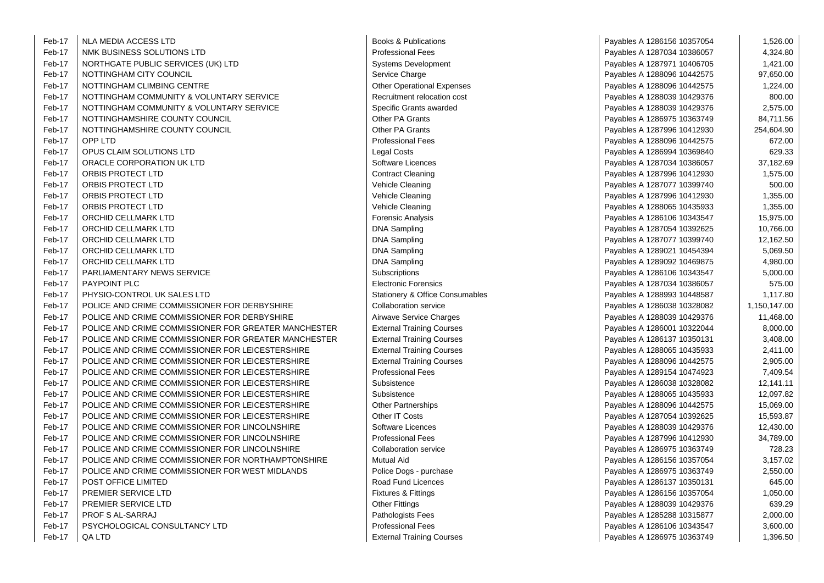| Feb-17 | NLA MEDIA ACCESS LTD                                 | Books & Publications                       | Payables A 1286156 10357054 | 1,526.00     |
|--------|------------------------------------------------------|--------------------------------------------|-----------------------------|--------------|
| Feb-17 | NMK BUSINESS SOLUTIONS LTD                           | <b>Professional Fees</b>                   | Payables A 1287034 10386057 | 4,324.80     |
| Feb-17 | NORTHGATE PUBLIC SERVICES (UK) LTD                   | <b>Systems Development</b>                 | Payables A 1287971 10406705 | 1,421.00     |
| Feb-17 | NOTTINGHAM CITY COUNCIL                              | Service Charge                             | Payables A 1288096 10442575 | 97,650.00    |
| Feb-17 | NOTTINGHAM CLIMBING CENTRE                           | <b>Other Operational Expenses</b>          | Payables A 1288096 10442575 | 1,224.00     |
| Feb-17 | NOTTINGHAM COMMUNITY & VOLUNTARY SERVICE             | Recruitment relocation cost                | Payables A 1288039 10429376 | 800.00       |
| Feb-17 | NOTTINGHAM COMMUNITY & VOLUNTARY SERVICE             | Specific Grants awarded                    | Payables A 1288039 10429376 | 2,575.00     |
| Feb-17 | NOTTINGHAMSHIRE COUNTY COUNCIL                       | Other PA Grants                            | Payables A 1286975 10363749 | 84,711.56    |
| Feb-17 | NOTTINGHAMSHIRE COUNTY COUNCIL                       | <b>Other PA Grants</b>                     | Payables A 1287996 10412930 | 254,604.90   |
| Feb-17 | OPP LTD                                              | <b>Professional Fees</b>                   | Payables A 1288096 10442575 | 672.00       |
| Feb-17 | OPUS CLAIM SOLUTIONS LTD                             | <b>Legal Costs</b>                         | Payables A 1286994 10369840 | 629.33       |
| Feb-17 | ORACLE CORPORATION UK LTD                            | Software Licences                          | Payables A 1287034 10386057 | 37,182.69    |
| Feb-17 | ORBIS PROTECT LTD                                    | <b>Contract Cleaning</b>                   | Payables A 1287996 10412930 | 1,575.00     |
| Feb-17 | ORBIS PROTECT LTD                                    | Vehicle Cleaning                           | Payables A 1287077 10399740 | 500.00       |
| Feb-17 | ORBIS PROTECT LTD                                    | Vehicle Cleaning                           | Payables A 1287996 10412930 | 1,355.00     |
| Feb-17 | ORBIS PROTECT LTD                                    | Vehicle Cleaning                           | Payables A 1288065 10435933 | 1,355.00     |
| Feb-17 | ORCHID CELLMARK LTD                                  | <b>Forensic Analysis</b>                   | Payables A 1286106 10343547 | 15,975.00    |
| Feb-17 | ORCHID CELLMARK LTD                                  | <b>DNA Sampling</b>                        | Payables A 1287054 10392625 | 10,766.00    |
| Feb-17 | ORCHID CELLMARK LTD                                  | <b>DNA Sampling</b>                        | Payables A 1287077 10399740 | 12,162.50    |
| Feb-17 | ORCHID CELLMARK LTD                                  | <b>DNA Sampling</b>                        | Payables A 1289021 10454394 | 5,069.50     |
| Feb-17 | ORCHID CELLMARK LTD                                  | <b>DNA Sampling</b>                        | Payables A 1289092 10469875 | 4,980.00     |
| Feb-17 | PARLIAMENTARY NEWS SERVICE                           | Subscriptions                              | Payables A 1286106 10343547 | 5,000.00     |
| Feb-17 | PAYPOINT PLC                                         | <b>Electronic Forensics</b>                | Payables A 1287034 10386057 | 575.00       |
| Feb-17 | PHYSIO-CONTROL UK SALES LTD                          | <b>Stationery &amp; Office Consumables</b> | Payables A 1288993 10448587 | 1,117.80     |
| Feb-17 | POLICE AND CRIME COMMISSIONER FOR DERBYSHIRE         | Collaboration service                      | Payables A 1286038 10328082 | 1,150,147.00 |
| Feb-17 | POLICE AND CRIME COMMISSIONER FOR DERBYSHIRE         | Airwave Service Charges                    | Payables A 1288039 10429376 | 11,468.00    |
| Feb-17 | POLICE AND CRIME COMMISSIONER FOR GREATER MANCHESTER | <b>External Training Courses</b>           | Payables A 1286001 10322044 | 8,000.00     |
| Feb-17 | POLICE AND CRIME COMMISSIONER FOR GREATER MANCHESTER | <b>External Training Courses</b>           | Payables A 1286137 10350131 | 3,408.00     |
| Feb-17 | POLICE AND CRIME COMMISSIONER FOR LEICESTERSHIRE     | <b>External Training Courses</b>           | Payables A 1288065 10435933 | 2,411.00     |
| Feb-17 | POLICE AND CRIME COMMISSIONER FOR LEICESTERSHIRE     | <b>External Training Courses</b>           | Payables A 1288096 10442575 | 2,905.00     |
| Feb-17 | POLICE AND CRIME COMMISSIONER FOR LEICESTERSHIRE     | <b>Professional Fees</b>                   | Payables A 1289154 10474923 | 7,409.54     |
| Feb-17 | POLICE AND CRIME COMMISSIONER FOR LEICESTERSHIRE     | Subsistence                                | Payables A 1286038 10328082 | 12,141.11    |
| Feb-17 | POLICE AND CRIME COMMISSIONER FOR LEICESTERSHIRE     | Subsistence                                | Payables A 1288065 10435933 | 12,097.82    |
| Feb-17 | POLICE AND CRIME COMMISSIONER FOR LEICESTERSHIRE     | <b>Other Partnerships</b>                  | Payables A 1288096 10442575 | 15,069.00    |
| Feb-17 | POLICE AND CRIME COMMISSIONER FOR LEICESTERSHIRE     | Other IT Costs                             | Payables A 1287054 10392625 | 15,593.87    |
| Feb-17 | POLICE AND CRIME COMMISSIONER FOR LINCOLNSHIRE       | Software Licences                          | Payables A 1288039 10429376 | 12,430.00    |
| Feb-17 | POLICE AND CRIME COMMISSIONER FOR LINCOLNSHIRE       | <b>Professional Fees</b>                   | Payables A 1287996 10412930 | 34,789.00    |
| Feb-17 | POLICE AND CRIME COMMISSIONER FOR LINCOLNSHIRE       | Collaboration service                      | Payables A 1286975 10363749 | 728.23       |
| Feb-17 | POLICE AND CRIME COMMISSIONER FOR NORTHAMPTONSHIRE   | <b>Mutual Aid</b>                          | Payables A 1286156 10357054 | 3,157.02     |
| Feb-17 | POLICE AND CRIME COMMISSIONER FOR WEST MIDLANDS      | Police Dogs - purchase                     | Payables A 1286975 10363749 | 2,550.00     |
| Feb-17 | POST OFFICE LIMITED                                  | Road Fund Licences                         | Payables A 1286137 10350131 | 645.00       |
| Feb-17 | PREMIER SERVICE LTD                                  | Fixtures & Fittings                        | Payables A 1286156 10357054 | 1,050.00     |
| Feb-17 | PREMIER SERVICE LTD                                  | <b>Other Fittings</b>                      | Payables A 1288039 10429376 | 639.29       |
| Feb-17 | PROF S AL-SARRAJ                                     | Pathologists Fees                          | Payables A 1285288 10315877 | 2,000.00     |
| Feb-17 | PSYCHOLOGICAL CONSULTANCY LTD                        | <b>Professional Fees</b>                   | Payables A 1286106 10343547 | 3,600.00     |
| Feb-17 | QA LTD                                               | <b>External Training Courses</b>           | Payables A 1286975 10363749 | 1,396.50     |

| Books & Publications             |
|----------------------------------|
| Professional Fees                |
| Systems Development              |
| Service Charge                   |
| Other Operational Expenses       |
| Recruitment relocation cost      |
| Specific Grants awarded          |
| Other PA Grants                  |
| Other PA Grants                  |
| Professional Fees                |
| Legal Costs                      |
| Software Licences                |
| <b>Contract Cleaning</b>         |
| Vehicle Cleaning                 |
| Vehicle Cleaning                 |
| Vehicle Cleaning                 |
| Forensic Analysis                |
| DNA Sampling                     |
| DNA Sampling                     |
| DNA Sampling                     |
| DNA Sampling                     |
| Subscriptions                    |
| Electronic Forensics             |
| Stationery & Office Consumable   |
| <b>Collaboration service</b>     |
| Airwave Service Charges          |
| <b>External Training Courses</b> |
| <b>External Training Courses</b> |
| <b>External Training Courses</b> |
| <b>External Training Courses</b> |
| Professional Fees                |
| Subsistence                      |
| Subsistence                      |
| Other Partnerships               |
| Other IT Costs                   |
| Software Licences                |
| Professional Fees                |
| <b>Collaboration service</b>     |
| Mutual Aid                       |
| Police Dogs - purchase           |
| Road Fund Licences               |
| Fixtures & Fittings              |
| Other Fittings                   |
| Pathologists Fees                |
| Professional Fees                |
| <b>External Training Courses</b> |
|                                  |

| Payables A 1286156 10357054 | 1,526.00     |
|-----------------------------|--------------|
| Payables A 1287034 10386057 | 4,324.80     |
| Payables A 1287971 10406705 | 1,421.00     |
| Payables A 1288096 10442575 | 97,650.00    |
| Payables A 1288096 10442575 | 1,224.00     |
| Payables A 1288039 10429376 | 800.00       |
| Payables A 1288039 10429376 | 2,575.00     |
| Payables A 1286975 10363749 | 84,711.56    |
| Payables A 1287996 10412930 | 254,604.90   |
| Payables A 1288096 10442575 | 672.00       |
| Payables A 1286994 10369840 | 629.33       |
| Payables A 1287034 10386057 | 37,182.69    |
| Payables A 1287996 10412930 | 1,575.00     |
| Payables A 1287077 10399740 | 500.00       |
| Payables A 1287996 10412930 | 1,355.00     |
| Payables A 1288065 10435933 | 1,355.00     |
| Payables A 1286106 10343547 | 15,975.00    |
| Payables A 1287054 10392625 | 10,766.00    |
| Payables A 1287077 10399740 | 12,162.50    |
| Payables A 1289021 10454394 | 5,069.50     |
| Payables A 1289092 10469875 | 4,980.00     |
| Payables A 1286106 10343547 | 5,000.00     |
| Payables A 1287034 10386057 | 575.00       |
| Payables A 1288993 10448587 | 1,117.80     |
| Payables A 1286038 10328082 | 1,150,147.00 |
| Payables A 1288039 10429376 | 11,468.00    |
| Payables A 1286001 10322044 | 8,000.00     |
| Payables A 1286137 10350131 | 3,408.00     |
| Payables A 1288065 10435933 | 2,411.00     |
| Payables A 1288096 10442575 | 2,905.00     |
| Payables A 1289154 10474923 | 7,409.54     |
| Payables A 1286038 10328082 | 12,141.11    |
| Payables A 1288065 10435933 | 12,097.82    |
| Payables A 1288096 10442575 | 15,069.00    |
| Payables A 1287054 10392625 | 15,593.87    |
| Payables A 1288039 10429376 | 12,430.00    |
| Payables A 1287996 10412930 | 34,789.00    |
| Payables A 1286975 10363749 | 728.23       |
| Payables A 1286156 10357054 | 3,157.02     |
| Payables A 1286975 10363749 | 2,550.00     |
| Payables A 1286137 10350131 | 645.00       |
| Payables A 1286156 10357054 | 1,050.00     |
| Payables A 1288039 10429376 | 639.29       |
| Payables A 1285288 10315877 | 2,000.00     |
| Payables A 1286106 10343547 | 3,600.00     |
| Pavables A 1286975 10363749 | 1.396.50     |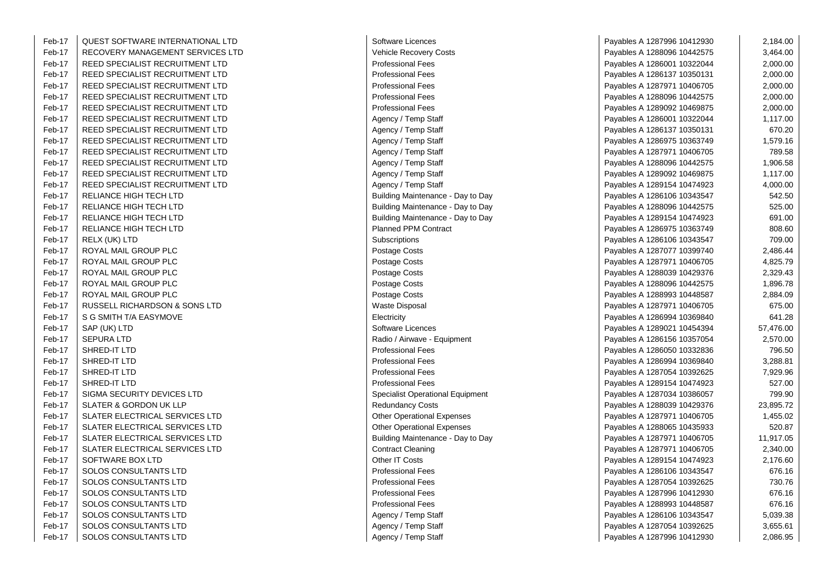| -17 | QUEST SOFTWARE INTERNATIONAL LTD  | Software Licences                 | Payables A 1287996 10412930 | 2,184.00  |
|-----|-----------------------------------|-----------------------------------|-----------------------------|-----------|
| -17 | RECOVERY MANAGEMENT SERVICES LTD  | Vehicle Recovery Costs            | Payables A 1288096 10442575 | 3,464.00  |
| -17 | REED SPECIALIST RECRUITMENT LTD   | <b>Professional Fees</b>          | Payables A 1286001 10322044 | 2,000.00  |
| -17 | REED SPECIALIST RECRUITMENT LTD   | <b>Professional Fees</b>          | Payables A 1286137 10350131 | 2,000.00  |
| -17 | REED SPECIALIST RECRUITMENT LTD   | <b>Professional Fees</b>          | Payables A 1287971 10406705 | 2,000.00  |
| -17 | REED SPECIALIST RECRUITMENT LTD   | <b>Professional Fees</b>          | Payables A 1288096 10442575 | 2,000.00  |
| -17 | REED SPECIALIST RECRUITMENT LTD   | <b>Professional Fees</b>          | Payables A 1289092 10469875 | 2,000.00  |
| -17 | REED SPECIALIST RECRUITMENT LTD   | Agency / Temp Staff               | Payables A 1286001 10322044 | 1,117.00  |
| -17 | REED SPECIALIST RECRUITMENT LTD   | Agency / Temp Staff               | Payables A 1286137 10350131 | 670.20    |
| -17 | REED SPECIALIST RECRUITMENT LTD   | Agency / Temp Staff               | Payables A 1286975 10363749 | 1,579.16  |
| -17 | REED SPECIALIST RECRUITMENT LTD   | Agency / Temp Staff               | Payables A 1287971 10406705 | 789.58    |
| -17 | REED SPECIALIST RECRUITMENT LTD   | Agency / Temp Staff               | Payables A 1288096 10442575 | 1,906.58  |
| -17 | REED SPECIALIST RECRUITMENT LTD   | Agency / Temp Staff               | Payables A 1289092 10469875 | 1,117.00  |
| -17 | REED SPECIALIST RECRUITMENT LTD   | Agency / Temp Staff               | Payables A 1289154 10474923 | 4,000.00  |
| -17 | RELIANCE HIGH TECH LTD            | Building Maintenance - Day to Day | Payables A 1286106 10343547 | 542.50    |
| -17 | RELIANCE HIGH TECH LTD            | Building Maintenance - Day to Day | Payables A 1288096 10442575 | 525.00    |
| -17 | RELIANCE HIGH TECH LTD            | Building Maintenance - Day to Day | Payables A 1289154 10474923 | 691.00    |
| -17 | RELIANCE HIGH TECH LTD            | <b>Planned PPM Contract</b>       | Payables A 1286975 10363749 | 808.60    |
| -17 | RELX (UK) LTD                     | Subscriptions                     | Payables A 1286106 10343547 | 709.00    |
| -17 | ROYAL MAIL GROUP PLC              | Postage Costs                     | Payables A 1287077 10399740 | 2,486.44  |
| -17 | ROYAL MAIL GROUP PLC              | Postage Costs                     | Payables A 1287971 10406705 | 4,825.79  |
| -17 | ROYAL MAIL GROUP PLC              | Postage Costs                     | Payables A 1288039 10429376 | 2,329.43  |
| -17 | ROYAL MAIL GROUP PLC              | Postage Costs                     | Payables A 1288096 10442575 | 1,896.78  |
| -17 | ROYAL MAIL GROUP PLC              | Postage Costs                     | Payables A 1288993 10448587 | 2,884.09  |
| -17 | RUSSELL RICHARDSON & SONS LTD     | Waste Disposal                    | Payables A 1287971 10406705 | 675.00    |
| -17 | S G SMITH T/A EASYMOVE            | Electricity                       | Payables A 1286994 10369840 | 641.28    |
| -17 | SAP (UK) LTD                      | Software Licences                 | Payables A 1289021 10454394 | 57,476.00 |
| -17 | <b>SEPURA LTD</b>                 | Radio / Airwave - Equipment       | Payables A 1286156 10357054 | 2,570.00  |
| -17 | SHRED-IT LTD                      | <b>Professional Fees</b>          | Payables A 1286050 10332836 | 796.50    |
| -17 | SHRED-IT LTD                      | <b>Professional Fees</b>          | Payables A 1286994 10369840 | 3,288.81  |
| -17 | SHRED-IT LTD                      | <b>Professional Fees</b>          | Payables A 1287054 10392625 | 7,929.96  |
| -17 | SHRED-IT LTD                      | <b>Professional Fees</b>          | Payables A 1289154 10474923 | 527.00    |
| -17 | SIGMA SECURITY DEVICES LTD        | Specialist Operational Equipment  | Payables A 1287034 10386057 | 799.90    |
| -17 | <b>SLATER &amp; GORDON UK LLP</b> | <b>Redundancy Costs</b>           | Payables A 1288039 10429376 | 23,895.72 |
| -17 | SLATER ELECTRICAL SERVICES LTD    | <b>Other Operational Expenses</b> | Payables A 1287971 10406705 | 1,455.02  |
| -17 | SLATER ELECTRICAL SERVICES LTD    | <b>Other Operational Expenses</b> | Payables A 1288065 10435933 | 520.87    |
| -17 | SLATER ELECTRICAL SERVICES LTD    | Building Maintenance - Day to Day | Payables A 1287971 10406705 | 11,917.05 |
| -17 | SLATER ELECTRICAL SERVICES LTD    | <b>Contract Cleaning</b>          | Payables A 1287971 10406705 | 2,340.00  |
| -17 | SOFTWARE BOX LTD                  | Other IT Costs                    | Payables A 1289154 10474923 | 2,176.60  |
| -17 | SOLOS CONSULTANTS LTD             | <b>Professional Fees</b>          | Payables A 1286106 10343547 | 676.16    |
| -17 | SOLOS CONSULTANTS LTD             | <b>Professional Fees</b>          | Payables A 1287054 10392625 | 730.76    |
| -17 | SOLOS CONSULTANTS LTD             | <b>Professional Fees</b>          | Payables A 1287996 10412930 | 676.16    |
| -17 | <b>SOLOS CONSULTANTS LTD</b>      | <b>Professional Fees</b>          | Payables A 1288993 10448587 | 676.16    |
| -17 | SOLOS CONSULTANTS LTD             | Agency / Temp Staff               | Payables A 1286106 10343547 | 5,039.38  |
| -17 | SOLOS CONSULTANTS LTD             | Agency / Temp Staff               | Payables A 1287054 10392625 | 3,655.61  |
| -17 | SOLOS CONSULTANTS LTD             | Agency / Temp Staff               | Payables A 1287996 10412930 | 2,086.95  |
|     |                                   |                                   |                             |           |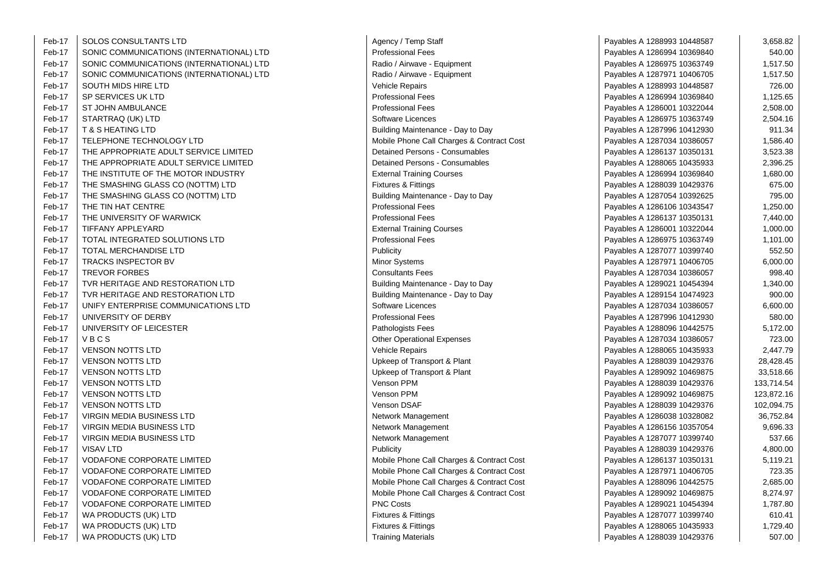| Feb-17 | <b>SOLOS CONSULTANTS LTD</b>             | Agency / Temp Staff                       | Payables A 1288993 10448587 | 3,658.82   |
|--------|------------------------------------------|-------------------------------------------|-----------------------------|------------|
| Feb-17 | SONIC COMMUNICATIONS (INTERNATIONAL) LTD | <b>Professional Fees</b>                  | Payables A 1286994 10369840 | 540.00     |
| Feb-17 | SONIC COMMUNICATIONS (INTERNATIONAL) LTD | Radio / Airwave - Equipment               | Payables A 1286975 10363749 | 1,517.50   |
| Feb-17 | SONIC COMMUNICATIONS (INTERNATIONAL) LTD | Radio / Airwave - Equipment               | Payables A 1287971 10406705 | 1,517.50   |
| Feb-17 | SOUTH MIDS HIRE LTD                      | Vehicle Repairs                           | Payables A 1288993 10448587 | 726.00     |
| Feb-17 | SP SERVICES UK LTD                       | <b>Professional Fees</b>                  | Payables A 1286994 10369840 | 1,125.65   |
| Feb-17 | ST JOHN AMBULANCE                        | Professional Fees                         | Payables A 1286001 10322044 | 2,508.00   |
| Feb-17 | STARTRAQ (UK) LTD                        | Software Licences                         | Payables A 1286975 10363749 | 2,504.16   |
| Feb-17 | <b>T &amp; S HEATING LTD</b>             | Building Maintenance - Day to Day         | Payables A 1287996 10412930 | 911.34     |
| Feb-17 | TELEPHONE TECHNOLOGY LTD                 | Mobile Phone Call Charges & Contract Cost | Payables A 1287034 10386057 | 1,586.40   |
| Feb-17 | THE APPROPRIATE ADULT SERVICE LIMITED    | <b>Detained Persons - Consumables</b>     | Payables A 1286137 10350131 | 3,523.38   |
| Feb-17 | THE APPROPRIATE ADULT SERVICE LIMITED    | Detained Persons - Consumables            | Payables A 1288065 10435933 | 2,396.25   |
| Feb-17 | THE INSTITUTE OF THE MOTOR INDUSTRY      | <b>External Training Courses</b>          | Payables A 1286994 10369840 | 1,680.00   |
| Feb-17 | THE SMASHING GLASS CO (NOTTM) LTD        | <b>Fixtures &amp; Fittings</b>            | Payables A 1288039 10429376 | 675.00     |
| Feb-17 | THE SMASHING GLASS CO (NOTTM) LTD        | Building Maintenance - Day to Day         | Payables A 1287054 10392625 | 795.00     |
| Feb-17 | THE TIN HAT CENTRE                       | <b>Professional Fees</b>                  | Payables A 1286106 10343547 | 1,250.00   |
| Feb-17 | THE UNIVERSITY OF WARWICK                | <b>Professional Fees</b>                  | Payables A 1286137 10350131 | 7,440.00   |
| Feb-17 | TIFFANY APPLEYARD                        | <b>External Training Courses</b>          | Payables A 1286001 10322044 | 1,000.00   |
| Feb-17 | TOTAL INTEGRATED SOLUTIONS LTD           | <b>Professional Fees</b>                  | Payables A 1286975 10363749 | 1,101.00   |
| Feb-17 | TOTAL MERCHANDISE LTD                    | Publicity                                 | Payables A 1287077 10399740 | 552.50     |
| Feb-17 | TRACKS INSPECTOR BV                      | Minor Systems                             | Payables A 1287971 10406705 | 6,000.00   |
| Feb-17 | <b>TREVOR FORBES</b>                     | <b>Consultants Fees</b>                   | Payables A 1287034 10386057 | 998.40     |
| Feb-17 | TVR HERITAGE AND RESTORATION LTD         | Building Maintenance - Day to Day         | Payables A 1289021 10454394 | 1,340.00   |
| Feb-17 | TVR HERITAGE AND RESTORATION LTD         | Building Maintenance - Day to Day         | Payables A 1289154 10474923 | 900.00     |
| Feb-17 | UNIFY ENTERPRISE COMMUNICATIONS LTD      | Software Licences                         | Payables A 1287034 10386057 | 6,600.00   |
| Feb-17 | UNIVERSITY OF DERBY                      | <b>Professional Fees</b>                  | Payables A 1287996 10412930 | 580.00     |
| Feb-17 | UNIVERSITY OF LEICESTER                  | Pathologists Fees                         | Payables A 1288096 10442575 | 5,172.00   |
| Feb-17 | VBCS                                     | <b>Other Operational Expenses</b>         | Payables A 1287034 10386057 | 723.00     |
| Feb-17 | <b>VENSON NOTTS LTD</b>                  | <b>Vehicle Repairs</b>                    | Payables A 1288065 10435933 | 2,447.79   |
| Feb-17 | <b>VENSON NOTTS LTD</b>                  | Upkeep of Transport & Plant               | Payables A 1288039 10429376 | 28,428.45  |
| Feb-17 | <b>VENSON NOTTS LTD</b>                  | Upkeep of Transport & Plant               | Payables A 1289092 10469875 | 33,518.66  |
| Feb-17 | <b>VENSON NOTTS LTD</b>                  | Venson PPM                                | Payables A 1288039 10429376 | 133,714.54 |
| Feb-17 | <b>VENSON NOTTS LTD</b>                  | Venson PPM                                | Payables A 1289092 10469875 | 123,872.16 |
| Feb-17 | <b>VENSON NOTTS LTD</b>                  | Venson DSAF                               | Payables A 1288039 10429376 | 102,094.75 |
| Feb-17 | <b>VIRGIN MEDIA BUSINESS LTD</b>         | Network Management                        | Payables A 1286038 10328082 | 36,752.84  |
| Feb-17 | <b>VIRGIN MEDIA BUSINESS LTD</b>         | Network Management                        | Payables A 1286156 10357054 | 9,696.33   |
| Feb-17 | VIRGIN MEDIA BUSINESS LTD                | Network Management                        | Payables A 1287077 10399740 | 537.66     |
| Feb-17 | VISAV LTD                                | <b>Publicity</b>                          | Payables A 1288039 10429376 | 4,800.00   |
| Feb-17 | <b>VODAFONE CORPORATE LIMITED</b>        | Mobile Phone Call Charges & Contract Cost | Payables A 1286137 10350131 | 5,119.21   |
| Feb-17 | <b>VODAFONE CORPORATE LIMITED</b>        | Mobile Phone Call Charges & Contract Cost | Payables A 1287971 10406705 | 723.35     |
| Feb-17 | <b>VODAFONE CORPORATE LIMITED</b>        | Mobile Phone Call Charges & Contract Cost | Payables A 1288096 10442575 | 2,685.00   |
| Feb-17 | <b>VODAFONE CORPORATE LIMITED</b>        | Mobile Phone Call Charges & Contract Cost | Payables A 1289092 10469875 | 8,274.97   |
| Feb-17 | <b>VODAFONE CORPORATE LIMITED</b>        | <b>PNC Costs</b>                          | Payables A 1289021 10454394 | 1,787.80   |
| Feb-17 | WA PRODUCTS (UK) LTD                     | <b>Fixtures &amp; Fittings</b>            | Payables A 1287077 10399740 | 610.41     |
| Feb-17 | WA PRODUCTS (UK) LTD                     | <b>Fixtures &amp; Fittings</b>            | Payables A 1288065 10435933 | 1,729.40   |
| Feb-17 | WA PRODUCTS (UK) LTD                     | <b>Training Materials</b>                 | Payables A 1288039 10429376 | 507.00     |

 $\sim$ 

| Agency / Temp Staff                       |
|-------------------------------------------|
| <b>Professional Fees</b>                  |
| Radio / Airwave - Equipment               |
| Radio / Airwave - Equipment               |
| <b>Vehicle Repairs</b>                    |
| <b>Professional Fees</b>                  |
| <b>Professional Fees</b>                  |
| Software Licences                         |
| Building Maintenance - Day to Day         |
| Mobile Phone Call Charges & Contract Cost |
| Detained Persons - Consumables            |
| Detained Persons - Consumables            |
| <b>External Training Courses</b>          |
| Fixtures & Fittings                       |
| Building Maintenance - Day to Day         |
| <b>Professional Fees</b>                  |
| <b>Professional Fees</b>                  |
| <b>External Training Courses</b>          |
| <b>Professional Fees</b>                  |
| Publicity                                 |
| Minor Systems                             |
| <b>Consultants Fees</b>                   |
| Building Maintenance - Day to Day         |
| Building Maintenance - Day to Day         |
| Software Licences                         |
| <b>Professional Fees</b>                  |
| Pathologists Fees                         |
| <b>Other Operational Expenses</b>         |
| <b>Vehicle Repairs</b>                    |
| Upkeep of Transport & Plant               |
| Upkeep of Transport & Plant               |
| <b>Venson PPM</b>                         |
| Venson PPM                                |
| Venson DSAF                               |
| Network Management                        |
| Network Management                        |
| Network Management                        |
| Publicity                                 |
| Mobile Phone Call Charges & Contract Cost |
| Mobile Phone Call Charges & Contract Cost |
| Mobile Phone Call Charges & Contract Cost |
| Mobile Phone Call Charges & Contract Cost |
| <b>PNC Costs</b>                          |
| <b>Fixtures &amp; Fittings</b>            |
| <b>Fixtures &amp; Fittings</b>            |
| Training Materials                        |

| Staff                       | Payables A 1288993 10448587 | 3,658.82   |
|-----------------------------|-----------------------------|------------|
| ЭS                          | Payables A 1286994 10369840 | 540.00     |
| - Equipment                 | Payables A 1286975 10363749 | 1,517.50   |
| - Equipment                 | Payables A 1287971 10406705 | 1,517.50   |
|                             | Payables A 1288993 10448587 | 726.00     |
| эS                          | Payables A 1286994 10369840 | 1,125.65   |
| эs                          | Payables A 1286001 10322044 | 2,508.00   |
| ЭS                          | Payables A 1286975 10363749 | 2,504.16   |
| ance - Day to Day           | Payables A 1287996 10412930 | 911.34     |
| all Charges & Contract Cost | Payables A 1287034 10386057 | 1,586.40   |
| <b>is - Consumables</b>     | Payables A 1286137 10350131 | 3,523.38   |
| s - Consumables             | Payables A 1288065 10435933 | 2,396.25   |
| ง Courses                   | Payables A 1286994 10369840 | 1,680.00   |
| 1S                          | Payables A 1288039 10429376 | 675.00     |
| ance - Day to Day           | Payables A 1287054 10392625 | 795.00     |
| ЭS                          | Payables A 1286106 10343547 | 1,250.00   |
| ЭS                          | Payables A 1286137 10350131 | 7,440.00   |
| ง Courses                   | Payables A 1286001 10322044 | 1,000.00   |
| эs                          | Payables A 1286975 10363749 | 1,101.00   |
|                             | Payables A 1287077 10399740 | 552.50     |
|                             | Payables A 1287971 10406705 | 6,000.00   |
| s                           | Payables A 1287034 10386057 | 998.40     |
| ance - Day to Day           | Payables A 1289021 10454394 | 1,340.00   |
| ance - Day to Day           | Payables A 1289154 10474923 | 900.00     |
| эs                          | Payables A 1287034 10386057 | 6,600.00   |
| 9S                          | Payables A 1287996 10412930 | 580.00     |
| ЭŚ.                         | Payables A 1288096 10442575 | 5,172.00   |
| al Expenses                 | Payables A 1287034 10386057 | 723.00     |
|                             | Payables A 1288065 10435933 | 2,447.79   |
| port & Plant                | Payables A 1288039 10429376 | 28,428.45  |
| port & Plant                | Payables A 1289092 10469875 | 33,518.66  |
|                             | Payables A 1288039 10429376 | 133,714.54 |
|                             | Payables A 1289092 10469875 | 123,872.16 |
|                             | Payables A 1288039 10429376 | 102,094.75 |
| ement                       | Payables A 1286038 10328082 | 36,752.84  |
| ement                       | Payables A 1286156 10357054 | 9,696.33   |
| ement                       | Payables A 1287077 10399740 | 537.66     |
|                             | Payables A 1288039 10429376 | 4,800.00   |
| all Charges & Contract Cost | Payables A 1286137 10350131 | 5,119.21   |
| all Charges & Contract Cost | Payables A 1287971 10406705 | 723.35     |
| all Charges & Contract Cost | Payables A 1288096 10442575 | 2,685.00   |
| all Charges & Contract Cost | Payables A 1289092 10469875 | 8,274.97   |
|                             | Payables A 1289021 10454394 | 1,787.80   |
| JS                          | Payables A 1287077 10399740 | 610.41     |
| 1S                          | Payables A 1288065 10435933 | 1,729.40   |
| l۹                          | Pavables A 1288039 10429376 | 507.00     |

 $\mathbf{r}$